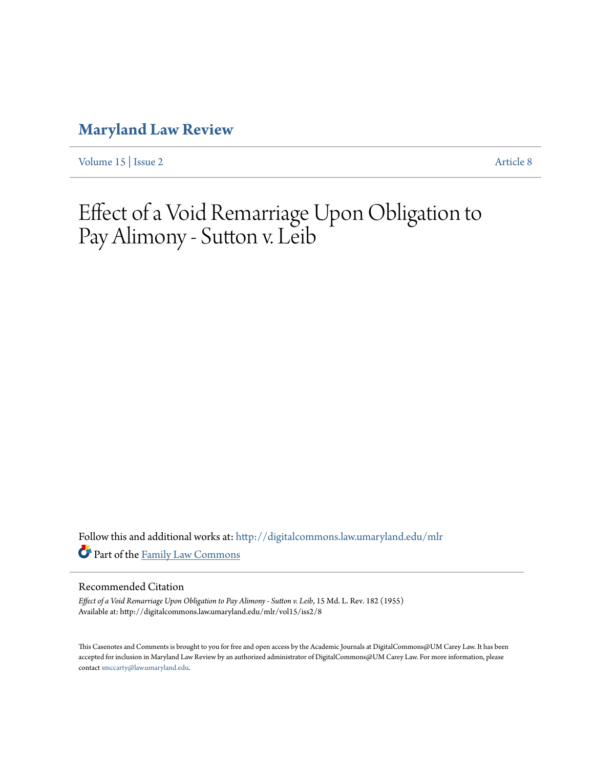# **[Maryland Law Review](http://digitalcommons.law.umaryland.edu/mlr?utm_source=digitalcommons.law.umaryland.edu%2Fmlr%2Fvol15%2Fiss2%2F8&utm_medium=PDF&utm_campaign=PDFCoverPages)**

[Volume 15](http://digitalcommons.law.umaryland.edu/mlr/vol15?utm_source=digitalcommons.law.umaryland.edu%2Fmlr%2Fvol15%2Fiss2%2F8&utm_medium=PDF&utm_campaign=PDFCoverPages) | [Issue 2](http://digitalcommons.law.umaryland.edu/mlr/vol15/iss2?utm_source=digitalcommons.law.umaryland.edu%2Fmlr%2Fvol15%2Fiss2%2F8&utm_medium=PDF&utm_campaign=PDFCoverPages) [Article 8](http://digitalcommons.law.umaryland.edu/mlr/vol15/iss2/8?utm_source=digitalcommons.law.umaryland.edu%2Fmlr%2Fvol15%2Fiss2%2F8&utm_medium=PDF&utm_campaign=PDFCoverPages)

# Effect of a Void Remarriage Upon Obligation to Pay Alimony - Sutton v. Leib

Follow this and additional works at: [http://digitalcommons.law.umaryland.edu/mlr](http://digitalcommons.law.umaryland.edu/mlr?utm_source=digitalcommons.law.umaryland.edu%2Fmlr%2Fvol15%2Fiss2%2F8&utm_medium=PDF&utm_campaign=PDFCoverPages) Part of the [Family Law Commons](http://network.bepress.com/hgg/discipline/602?utm_source=digitalcommons.law.umaryland.edu%2Fmlr%2Fvol15%2Fiss2%2F8&utm_medium=PDF&utm_campaign=PDFCoverPages)

## Recommended Citation

*Effect of a Void Remarriage Upon Obligation to Pay Alimony - Sutton v. Leib*, 15 Md. L. Rev. 182 (1955) Available at: http://digitalcommons.law.umaryland.edu/mlr/vol15/iss2/8

This Casenotes and Comments is brought to you for free and open access by the Academic Journals at DigitalCommons@UM Carey Law. It has been accepted for inclusion in Maryland Law Review by an authorized administrator of DigitalCommons@UM Carey Law. For more information, please contact [smccarty@law.umaryland.edu.](mailto:smccarty@law.umaryland.edu)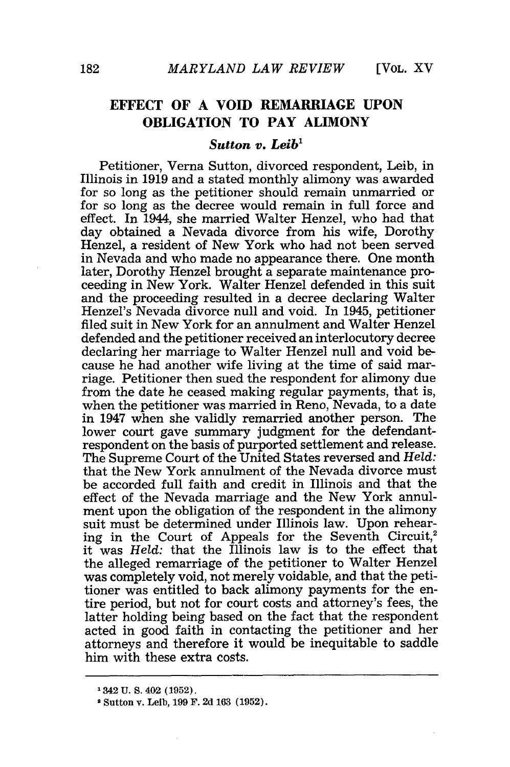# **EFFECT OF A VOID REMARRIAGE UPON OBLIGATION TO PAY ALIMONY**

#### *Sutton v. Leib'*

Petitioner, Verna Sutton, divorced respondent, Leib, in Illinois in 1919 and a stated monthly alimony was awarded for so long as the petitioner should remain unmarried or for so long as the decree would remain in full force and effect. In 1944, she married Walter Henzel, who had that day obtained a Nevada divorce from his wife, Dorothy Henzel, a resident of New York who had not been served in Nevada and who made no appearance there. One month later, Dorothy Henzel brought a separate maintenance proceeding in New York. Walter Henzel defended in this suit and the proceeding resulted in a decree declaring Walter Henzel's Nevada divorce null and void. In 1945, petitioner filed suit in New York for an annulment and Walter Henzel defended and the petitioner received an interlocutory decree declaring her marriage to Walter Henzel null and void because he had another wife living at the time of said marriage. Petitioner then sued the respondent for alimony due from the date he ceased making regular payments, that is, when the petitioner was married in Reno, Nevada, to a date in 1947 when she validly remarried another person. The lower court gave summary judgment for the defendantrespondent on the basis of purported settlement and release. The Supreme Court of the United States reversed and *Held:* that the New York annulment of the Nevada divorce must be accorded full faith and credit in Illinois and that the effect of the Nevada marriage and the New York annulment upon the obligation of the respondent in the alimony suit must be determined under Illinois law. Upon rehearing in the Court of Appeals for the Seventh Circuit,<sup>2</sup> it was *Held:* that the Illinois law is to the effect that the alleged remarriage of the petitioner to Walter Henzel was completely void, not merely voidable, and that the petitioner was entitled to back alimony payments for the entire period, but not for court costs and attorney's fees, the latter holding being based on the fact that the respondent acted in good faith in contacting the petitioner and her attorneys and therefore it would be inequitable to saddle him with these extra costs.

<sup>1342</sup> **U. S.** 402 **(1952).**

**<sup>2</sup>** Sutton **v.** Leib, **199** F. **2d 163 (1952).**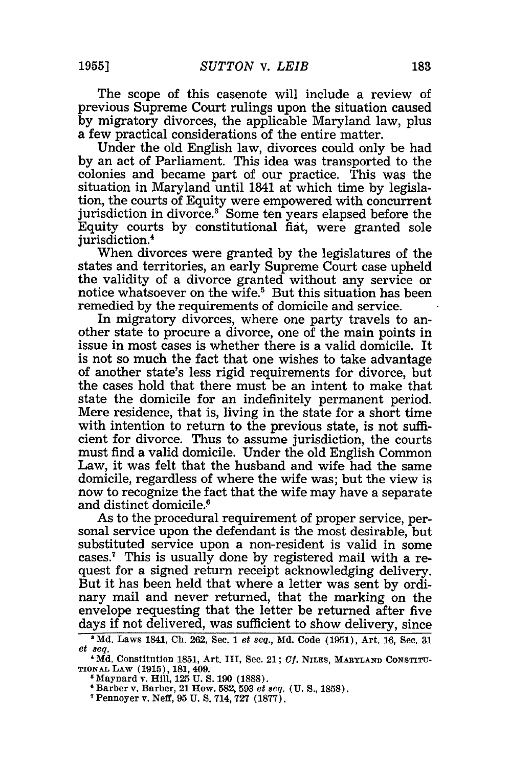The scope of this casenote will include a review of previous Supreme Court rulings upon the situation caused by migratory divorces, the applicable Maryland law, plus a few practical considerations of the entire matter.

Under the old English law, divorces could only be had by an act of Parliament. This idea was transported to the colonies and became part of our practice. This was the situation in Maryland until 1841 at which time by legislation, the courts of Equity were empowered with concurrent jurisdiction in divorce.<sup>3</sup> Some ten years elapsed before the Equity courts by constitutional fiat, were granted sole jurisdiction.<sup>4</sup>

When divorces were granted by the legislatures of the states and territories, an early Supreme Court case upheld the validity of a divorce granted without any service or notice whatsoever on the wife.<sup>5</sup> But this situation has been remedied by the requirements of domicile and service.

In migratory divorces, where one party travels to another state to procure a divorce, one of the main points in issue in most cases is whether there is a valid domicile. It is not so much the fact that one wishes to take advantage of another state's less rigid requirements for divorce, but the cases hold that there must be an intent to make that state the domicile for an indefinitely permanent period. Mere residence, that is, living in the state for a short time with intention to return to the previous state, is not sufficient for divorce. Thus to assume jurisdiction, the courts must find a valid domicile. Under the old English Common Law, it was felt that the husband and wife had the same domicile, regardless of where the wife was; but the view is now to recognize the fact that the wife may have a separate and distinct domicile

As to the procedural requirement of proper service, personal service upon the defendant is the most desirable, but substituted service upon a non-resident is valid in some cases.<sup>7</sup> This is usually done by registered mail with a request for a signed return receipt acknowledging delivery. But it has been held that where a letter was sent by ordinary mail and never returned, that the marking on the envelope requesting that the letter be returned after five days if not delivered, was sufficient to show delivery, since  $Md$ , Laws 1841, Ch. 262, Sec. 1 *et seq.*, Md. Code (1951), Art. 16, Sec. 31

*et 8eq.*

<sup>&#</sup>x27;Md. Constitution 1851, Art. III, Sec. 21; *Cf.* NILES, **MARYLAND CONSTITU-TIONAL LAW** (1915), 181, 409. **5** Maynard v. Hill, 125 U. **S.** 190 (1888).

**<sup>6</sup>**Barber v. Barber, 21 How. 582, 593 *et seq.* (U. **S.,** 1858). <sup>T</sup>

Pennoyer v. Neff, 95 U. **S.** 714, 727 (1877).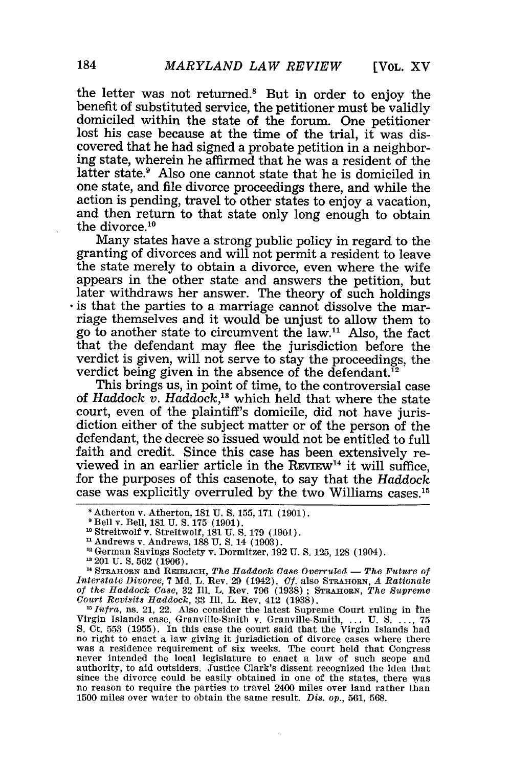**[VOL.** XV

the letter was not returned.' But in order to enjoy the benefit of substituted service, the petitioner must be validly domiciled within the state of the forum. One petitioner lost his case because at the time of the trial, it was discovered that he had signed a probate petition in a neighbor- ing state, wherein he affirmed that he was a resident of the latter state.<sup>9</sup> Also one cannot state that he is domiciled in one state, and file divorce proceedings there, and while the action is pending, travel to other states to enjoy a vacation, and then return to that state only long enough to obtain the divorce. $10$ 

Many states have a strong public policy in regard to the granting of divorces and will not permit a resident to leave the state merely to obtain a divorce, even where the wife appears in the other state and answers the petition, but later withdraws her answer. The theory of such holdings is that the parties to a marriage cannot dissolve the marriage themselves and it would be unjust to allow them to go to another state to circumvent the law." Also, the fact that the defendant may flee the jurisdiction before the verdict is given, will not serve to stay the proceedings, the verdict being given in the absence of the defendant.<sup>12</sup>

This brings us, in point of time, to the controversial case of *Haddock v. Haddock,"* which held that where the state court, even of the plaintiff's domicile, did not have jurisdiction either of the subject matter or of the person of the defendant, the decree so issued would not be entitled to full faith and credit. Since this case has been extensively reviewed in an earlier article in the  $REVIEW<sup>14</sup>$  it will suffice. for the purposes of this casenote, to say that the Haddock case was explicitly overruled by the two Williams cases. <sup>15</sup>

<sup>13</sup> 201 U.S. 562 (1906).

<sup>14</sup> STRAHORN and REIBLICH, *The Haddock Case Overruled* - *The Future of Interstate Divorce*, 7 Md. L. Rev. 29 (1942). *Cf.* also STRAHORN, *A Rationale of the Haddock Case,* 32 Iil. L. Rev. 796 (1938) ; **STRAHORN,** *The Supreme Court Revisits Haddock,* 33 Ill. L. Rev. 412 (1938).

 $^{15}$  Infra, ns. 21, 22. Also consider the latest Supreme Court ruling in the Virgin Islands case, Granville-Smith v. Granville-Smith, ... U. S **... , 75** no right to enact a law giving it jurisdiction of divorce cases where there was a residence requirement of six weeks. The court held that Congress never intended the local legislature to enact a law of such scope and authority, to aid outsiders. Justice Clark's dissent recognized the idea that since the divorce could be easily obtained in one of the states, there was no reason to require the parties to travel 2400 miles over land rather than **1500** miles over water to obtain the same result. *Dis.* op., 561, *568.*

**<sup>8</sup>**Atherton v. Atherton, **181 U. S.** 155, 171 (1901).

Bell v. Bell, 181 U. **S. 175** (1901). **<sup>10</sup>**Streitwolf v. Streitwolf, 181 **U. S.** 179 (1901).

Andrews v. Andrews, 188 U. **S.** 14 (1903).

German Savings Society v. Dormitzer, 192 U. **S.** 125, 128 (1904).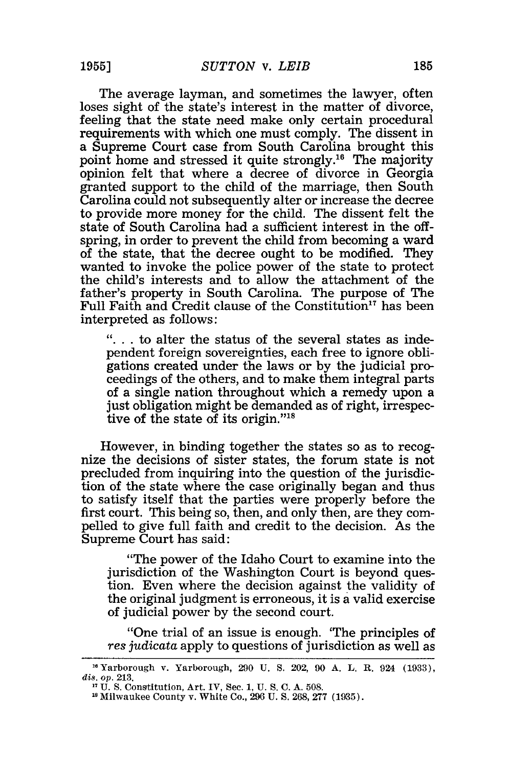The average layman, and sometimes the lawyer, often loses sight of the state's interest in the matter of divorce, feeling that the state need make only certain procedural requirements with which one must comply. The dissent in a Supreme Court case from South Carolina brought this point home and stressed it quite strongly.<sup>16</sup> The majority opinion felt that where a decree of divorce in Georgia granted support to the child of the marriage, then South Carolina could not subsequently alter or increase the decree to provide more money for the child. The dissent felt the state of South Carolina had a sufficient interest in the offspring, in order to prevent the child from becoming a ward of the state, that the decree ought to be modified. They wanted to invoke the police power of the state to protect the child's interests and to allow the attachment of the father's property in South Carolina. The purpose of The Full Faith and Credit clause of the Constitution<sup>17</sup> has been interpreted as follows:

**"....** to alter the status of the several states as independent foreign sovereignties, each free to ignore obligations created under the laws or by the judicial proceedings of the others, and to make them integral parts of a single nation throughout which a remedy upon a just obligation might be demanded as of right, irrespective of the state of its origin."<sup>18</sup>

However, in binding together the states so as to recognize the decisions of sister states, the forum state is not precluded from inquiring into the question of the jurisdiction of the state where the case originally began and thus to satisfy itself that the parties were properly before the first court. This being so, then, and only then, are they compelled to give full faith and credit to the decision. As the Supreme Court has said:

"The power of the Idaho Court to examine into the jurisdiction of the Washington Court is beyond question. Even where the decision against the validity of the original judgment is erroneous, it is a valid exercise of judicial power by the second court.

"One trial of an issue is enough. 'The principles of *res judicata* apply to questions of jurisdiction as well as

<sup>&</sup>quot;Yarborough v. Yarborough, **290** U. S. 202, 90 A. L. R. 924 (1933), *dis. op.* 213.

U. S. Constitution, Art. IV, Sec. 1, U. S. C. A. 508.

<sup>&#</sup>x27;Milwaukee County v. White Co., **296** U. S. 268, 277 (1935).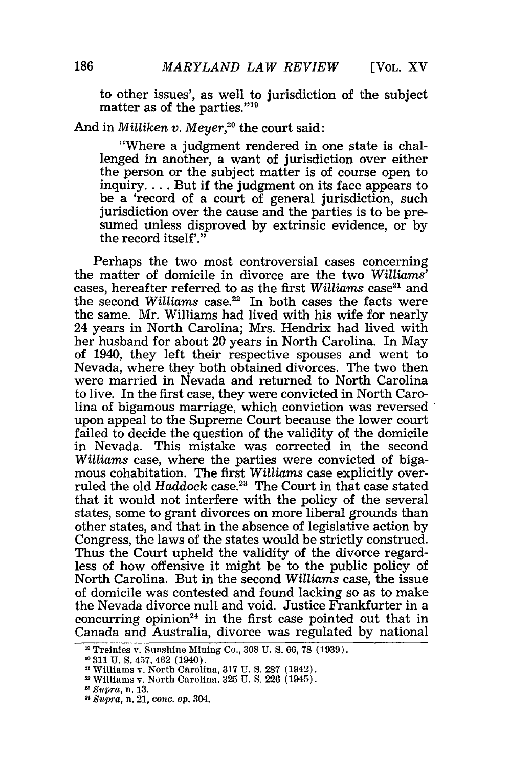to other issues', as well to jurisdiction of the subject matter as of the parties."'19

### And in *Milliken v. Meyer*,<sup>20</sup> the court said:

"Where a judgment rendered in one state is challenged in another, a want of jurisdiction over either the person or the subject matter is of course open to inquiry.... But if the judgment on its face appears to be a 'record of a court of general jurisdiction, such jurisdiction over the cause and the parties is to be presumed unless disproved by extrinsic evidence, or by the record itself'."

Perhaps the two most controversial cases concerning the matter of domicile in divorce are the two *Williams'* cases, hereafter referred to as the first *Williams* case<sup>21</sup> and the second *Williams* case.<sup>22</sup> In both cases the facts were the same. Mr. Williams had lived with his wife for nearly 24 years in North Carolina; Mrs. Hendrix had lived with her husband for about 20 years in North Carolina. In May of 1940, they left their respective spouses and went to Nevada, where they both obtained divorces. The two then were married in Nevada and returned to North Carolina to live. In the first case, they were convicted in North Carolina of bigamous marriage, which conviction was reversed upon appeal to the Supreme Court because the lower court failed to decide the question of the validity of the domicile in Nevada. This mistake was corrected in the second *Williams* case, where the parties were convicted of bigamous cohabitation. The first *Williams* case explicitly overruled the old *Haddock* case.<sup>23</sup> The Court in that case stated that it would not interfere with the policy of the several states, some to grant divorces on more liberal grounds than other states, and that in the absence of legislative action by Congress, the laws of the states would be strictly construed. Thus the Court upheld the validity of the divorce regardless of how offensive it might be to the public policy of North Carolina. But in the second *Williams* case, the issue of domicile was contested and found lacking so as to make the Nevada divorce null and void. Justice Frankfurter in a concurring opinion<sup>24</sup> in the first case pointed out that in Canada and Australia, divorce was regulated by national

*Supra,* n. 21, *cone.* op. 304.

<sup>&</sup>lt;sup>10</sup> Treinies v. Sunshine Mining Co., 308 U. S. 66, 78 (1939).

<sup>&</sup>quot;311 **U. S.** 457, 462 (1940).

<sup>&</sup>lt;sup>21</sup> Williams v. North Carolina, 317 U.S. 287 (1942)

<sup>&</sup>lt;sup>22</sup> Williams v. North Carolina, 325 U. S. 226 (1945)

*Supra,* n. 13.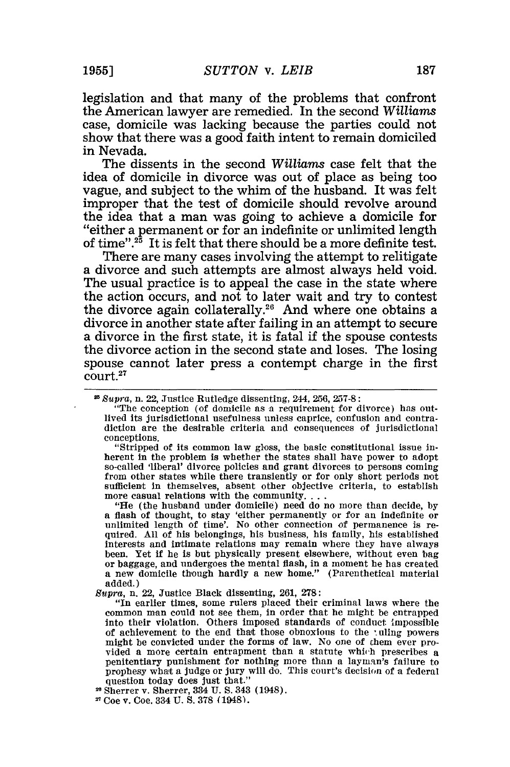legislation and that many of the problems that confront the American lawyer are remedied. In the second *Williams* case, domicile was lacking because the parties could not show that there was a good faith intent to remain domiciled in Nevada.

The dissents in the second *Williams* case felt that the idea of domicile in divorce was out of place as being too vague, and subject to the whim of the husband. It was felt improper that the test of domicile should revolve around the idea that a man was going to achieve a domicile for "either a permanent or for an indefinite or unlimited length of time".<sup>25</sup> It is felt that there should be a more definite test.

There are many cases involving the attempt to relitigate a divorce and such attempts are almost always held void. The usual practice is to appeal the case in the state where the action occurs, and not to later wait and try to contest the divorce again collaterally.<sup>26</sup> And where one obtains a divorce in another state after failing in an attempt to secure a divorce in the first state, it is fatal if the spouse contests the divorce action in the second state and loses. The losing spouse cannot later press a contempt charge in the first court.<sup>27</sup>

"Stripped of its common law gloss, the basic constitutional issue inherent in the problem is whether the states shall have power to adopt so-called 'liberal' divorce policies and grant divorces to persons coming from other states while there transiently or for only short periods not sufficient in themselves, absent other objective criteria, to establish sufficient in themselves, absent other objective criteria, to establish more casual relations with the community....

"He (the husband under domicile) need do no more than decide, by a flash of thought, to stay 'either permanently or for an indefinite or unlimited length of time'. No other connection of permanence is re- quired. All of his belongings, his business, his family, his established quired. All of his belongings, his business, his family, his established interests and intimate relations may remain where they have always been. Yet if he is but physically present elsewhere, without even bag or baggage, and undergoes the mental flash, in a moment he has created a new domicile though hardly a new home." (Parenthetical material added.)

*Supra,* n. 22, Justice Black dissenting, 261, **278:**

"In earlier times, some rulers placed their criminal laws where the common man could not see them, in order that he might be entrapped into their violation. Others imposed standards of conduct Impossible of achievement to the end that those obnoxious to the tuling powers might be convicted under the forms of law. No one of them ever provided a more certain entrapment than a statute which prescribes a penitentiary punishment for nothing more than a layman's failure to prophesy what a judge or jury will do. This court's decision of a federal question today does just that."<br>Sherrer v. Sherrer, 334 U. S. 343 (1948).

**<sup>2</sup>***Supra,* n. 22, Justice Rutledge dissenting, 244, 256, 257-8:

<sup>&</sup>quot;The conception (of domicile as a requirement for divorce) has outlived its jurisdictional usefulness unless caprice, confusion and contradiction are the desirable criteria and consequences of jurisdictional conceptions.

Coe v. Coe. **334 U. S.** 378 (1948).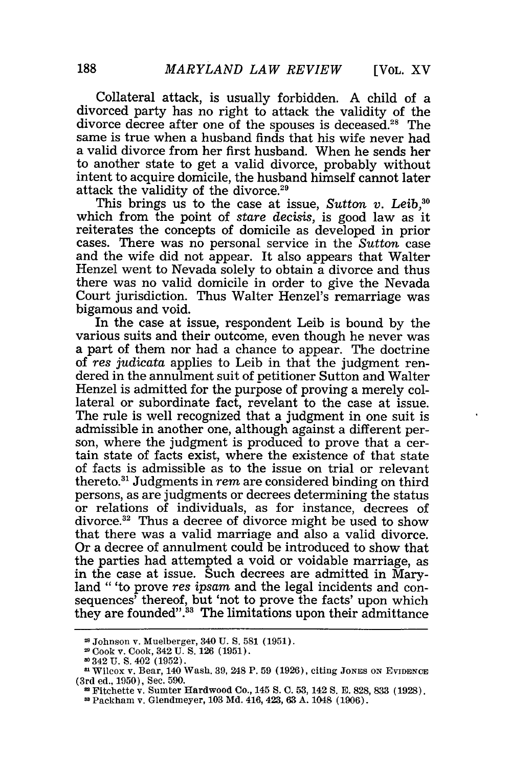Collateral attack, is usually forbidden. A child of a divorced party has no right to attack the validity of the divorce decree after one of the spouses is deceased.<sup>28</sup> The same is true when a husband finds that his wife never had a valid divorce from her first husband. When he sends her to another state to get a valid divorce, probably without intent to acquire domicile, the husband himself cannot later attack the validity of the divorce.<sup>29</sup>

This brings us to the case at issue, *Sutton v. Leib,30* which from the point of *stare decisis,* is good law as it reiterates the concepts of domicile as developed in prior cases. There was no personal service in the *Sutton* case and the wife did not appear. It also appears that Walter Henzel went to Nevada solely to obtain a divorce and thus there was no valid domicile in order to give the Nevada Court jurisdiction. Thus Walter Henzel's remarriage was bigamous and void.

In the case at issue, respondent Leib is bound by the various suits and their outcome, even though he never was a part of them nor had a chance to appear. The doctrine of *res judicata* applies to Leib in that the judgment rendered in the annulment suit of petitioner Sutton and Walter Henzel is admitted for the purpose of proving a merely collateral or subordinate fact, revelant to the case at issue. The rule is well recognized that a judgment in one suit is admissible in another one, although against a different person, where the judgment is produced to prove that a certain state of facts exist, where the existence of that state of facts is admissible as to the issue on trial or relevant thereto." Judgments in *rem* are considered binding on third persons, as are judgments or decrees determining the status or relations of individuals, as for instance, decrees of divorce.<sup>32</sup> Thus a decree of divorce might be used to show that there was a valid marriage and also a valid divorce. Or a decree of annulment could be introduced to show that the parties had attempted a void or voidable marriage, as in the case at issue. Such decrees are admitted in Maryland "'to prove *res ipsam* and the legal incidents and consequences' thereof, but 'not to prove the facts' upon which they are founded".<sup>33</sup> The limitations upon their admittance

Johnson v. Muelberger, 340 U. S. 581 (1951).

<sup>2</sup> Cook v. Cook, 342 U. **S.** 126 (1951).

**<sup>-</sup>** 342 U. S. 402 (1952). 8Wilcox v. Bear, 140 Wash. 39, 248 P. 59 (1926), citing JONES **oN EVIDENCE** (3rd ed., 1950), Sec. 590. **<sup>n</sup>**Fitchette v. Sumter Hardwood Co., 145 S. C. **53,** 142 S. E. 828, **833** (1928). **-** Packham v. Glendmeyer, 103 Md. 416,423, 63 A. 1048 (1906).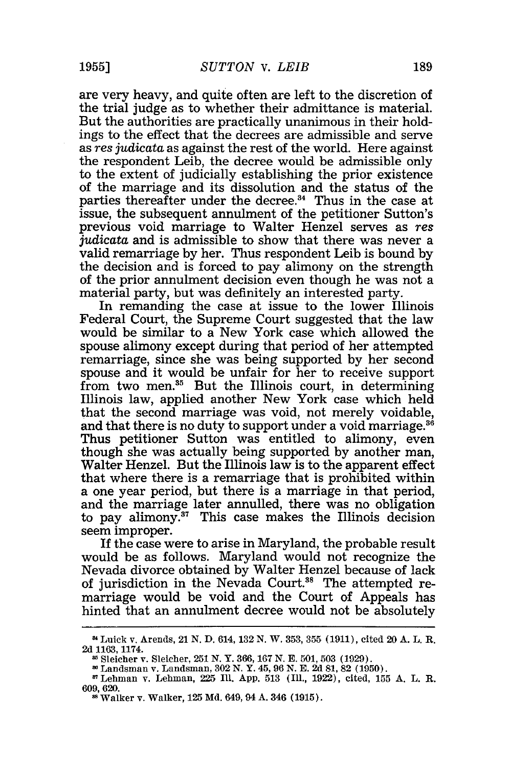are very heavy, and quite often are left to the discretion of the trial judge as to whether their admittance is material. But the authorities are practically unanimous in their holdings to the effect that the decrees are admissible and serve as res *judicata* as against the rest of the world. Here against the respondent Leib, the decree would be admissible only to the extent of judicially establishing the prior existence of the marriage and its dissolution and the status of the parties thereafter under the decree.<sup>34</sup> Thus in the case at issue, the subsequent annulment of the petitioner Sutton's previous void marriage to Walter Henzel serves as *res judicata* and is admissible to show that there was never a valid remarriage by her. Thus respondent Leib is bound by the decision and is forced to pay alimony on the strength of the prior annulment decision even though he was not a material party, but was definitely an interested party.

In remanding the case at issue to the lower Illinois Federal Court, the Supreme Court suggested that the law would be similar to a New York case which allowed the spouse alimony except during that period of her attempted remarriage, since she was being supported by her second spouse and it would be unfair for her to receive support from two men.<sup>35</sup> But the Illinois court, in determining Illinois law, applied another New York case which held that the second marriage was void, not merely voidable, and that there is no duty to support under a void marriage.<sup>36</sup> Thus petitioner Sutton was entitled to alimony, even though she was actually being supported by another man, Walter Henzel. But the Illinois law is to the apparent effect that where there is a remarriage that is prohibited within a one year period, but there is a marriage in that period, and the marriage later annulled, there was no obligation to pay alimony.<sup>37</sup> This case makes the Illinois decision seem improper.

If the case were to arise in Maryland, the probable result would be as follows. Maryland would not recognize the Nevada divorce obtained by Walter Henzel because of lack of jurisdiction in the Nevada Court.<sup>38</sup> The attempted remarriage would be void and the Court of Appeals has hinted that an annulment decree would not be absolutely

Luick v. Arends, 21 **N. D.** 614, **132 N.** W. 353, 355 (1911), cited 20 **A.** L. R. **2d** 1163, **1174.**

Sleicher v. Sleicher, 251 N. Y. 366, 167 N. E. 501, **503** (1929).

Landsman v. Landsman, **302** N. Y. 45, 96 N. E. 2d 81, 82 (1950).

<sup>&#</sup>x27;Lehman v. Lehman, 225 Ill. App. **513** (Ill., 1922), cited, 155 A. L. R. 609, 620.

**<sup>8</sup>** Walker v. Walker, 125 Md. 649, 94 A. 346 (1915).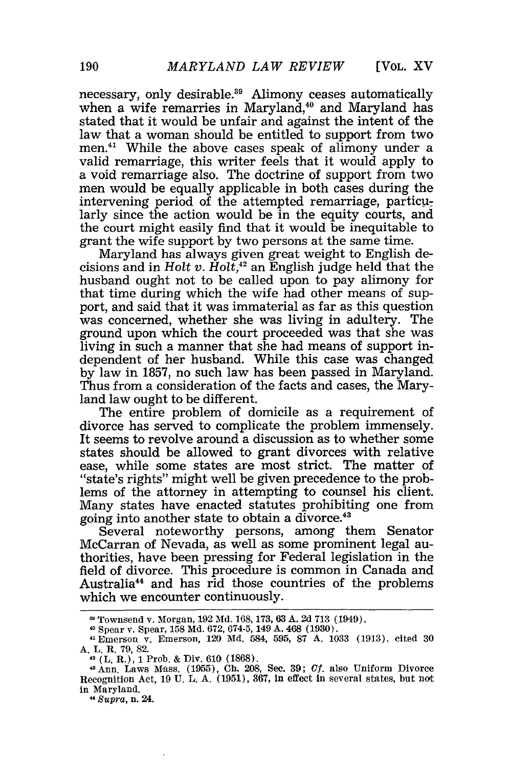[VOL. XV

necessary, only desirable.<sup>39</sup> Alimony ceases automatically when a wife remarries in Maryland,<sup>40</sup> and Maryland has stated that it would be unfair and against the intent of the law that a woman should be entitled to support from two men.<sup>41</sup> While the above cases speak of alimony under a valid remarriage, this writer feels that it would apply to a void remarriage also. The doctrine of support from two men would be equally applicable in both cases during the intervening period of the attempted remarriage, particularly since the action would be in the equity courts, and the court might easily find that it would be inequitable to grant the wife support by two persons at the same time.

Maryland has always given great weight to English decisions and in *Holt v. Holt*,<sup>12</sup> an English judge held that the husband ought not to be called upon to pay alimony for that time during which the wife had other means of support, and said that it was immaterial as far as this question was concerned, whether she was living in adultery. The ground upon which the court proceeded was that she was living in such a manner that she had means of support independent of her husband. While this case was changed by law in 1857, no such law has been passed in Maryland. Thus from a consideration of the facts and cases, the Maryland law ought to be different.

The entire problem of domicile as a requirement of divorce has served to complicate the problem immensely. It seems to revolve around a discussion as to whether some states should be allowed to grant divorces with relative ease, while some states are most strict. The matter of "state's rights" might well be given precedence to the problems of the attorney in attempting to counsel his client. Many states have enacted statutes prohibiting one from going into another state to obtain a divorce.43

Several noteworthy persons, among them Senator McCarran of Nevada, as well as some prominent legal authorities, have been pressing for Federal legislation in the field of divorce. This procedure is common in Canada and Australia<sup>44</sup> and has rid those countries of the problems which we encounter continuously.

*11 Supra,* n. 24.

Townsend v. Morgan, 192 Md. 168, 173, **63** A. 2d 713 (1949). <sup>40</sup>Spear v. Spear, 158 Md. 672, 674-5, 149 A. 468 (1930).

<sup>41</sup> Emerson v. Emerson, 120 Md. 584, 595, 87 A. 1033 (1913), cited 30 A. L. R. 79, 82.

**<sup>42</sup>**(L. R.), 1 Prob. & Div. 610 (1868).

SAnn. Laws Mass. (1955), **Ch.** 208, Sec. 39; *CI.* also Uniform Divorce Recognition Act, 19 U. L. A. (1951), 367, in effect in several states, but not in Maryland.